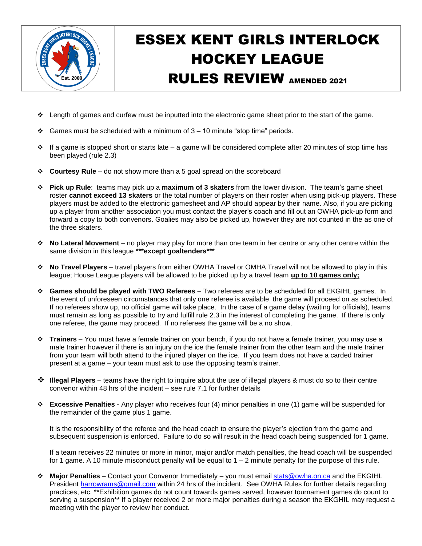

## ESSEX KENT GIRLS INTERLOCK HOCKEY LEAGUE RULES REVIEW AMENDED 2021

- length of games and curfew must be inputted into the electronic game sheet prior to the start of the game.
- Games must be scheduled with a minimum of  $3 10$  minute "stop time" periods.
- $\cdot \cdot$  If a game is stopped short or starts late a game will be considered complete after 20 minutes of stop time has been played (rule 2.3)
- **Courtesy Rule** do not show more than a 5 goal spread on the scoreboard
- **Pick up Rule**: teams may pick up a **maximum of 3 skaters** from the lower division. The team's game sheet roster **cannot exceed 13 skaters** or the total number of players on their roster when using pick-up players. These players must be added to the electronic gamesheet and AP should appear by their name. Also, if you are picking up a player from another association you must contact the player's coach and fill out an OWHA pick-up form and forward a copy to both convenors. Goalies may also be picked up, however they are not counted in the as one of the three skaters.
- **No Lateral Movement** no player may play for more than one team in her centre or any other centre within the same division in this league **\*\*\*except goaltenders\*\*\***
- **No Travel Players** travel players from either OWHA Travel or OMHA Travel will not be allowed to play in this league; House League players will be allowed to be picked up by a travel team **up to 10 games only;**
- **Games should be played with TWO Referees** Two referees are to be scheduled for all EKGIHL games. In the event of unforeseen circumstances that only one referee is available, the game will proceed on as scheduled. If no referees show up, no official game will take place. In the case of a game delay (waiting for officials), teams must remain as long as possible to try and fulfill rule 2.3 in the interest of completing the game. If there is only one referee, the game may proceed. If no referees the game will be a no show.
- **Trainers** You must have a female trainer on your bench, if you do not have a female trainer, you may use a male trainer however if there is an injury on the ice the female trainer from the other team and the male trainer from your team will both attend to the injured player on the ice. If you team does not have a carded trainer present at a game – your team must ask to use the opposing team's trainer.
- **Illegal Players** teams have the right to inquire about the use of illegal players & must do so to their centre convenor within 48 hrs of the incident – see rule 7.1 for further details
- **Excessive Penalties** Any player who receives four (4) minor penalties in one (1) game will be suspended for the remainder of the game plus 1 game.

It is the responsibility of the referee and the head coach to ensure the player's ejection from the game and subsequent suspension is enforced. Failure to do so will result in the head coach being suspended for 1 game.

If a team receives 22 minutes or more in minor, major and/or match penalties, the head coach will be suspended for 1 game. A 10 minute misconduct penalty will be equal to  $1 - 2$  minute penalty for the purpose of this rule.

 **Major Penalties** – Contact your Convenor Immediately – you must email [stats@owha.on.ca](mailto:stats@owha.on.ca) and the EKGIHL President [harrowrams@gmail.com](mailto:harrowrams@gmail.com) within 24 hrs of the incident. See OWHA Rules for further details regarding practices, etc. \*\*Exhibition games do not count towards games served, however tournament games do count to serving a suspension\*\* If a player received 2 or more major penalties during a season the EKGHIL may request a meeting with the player to review her conduct.